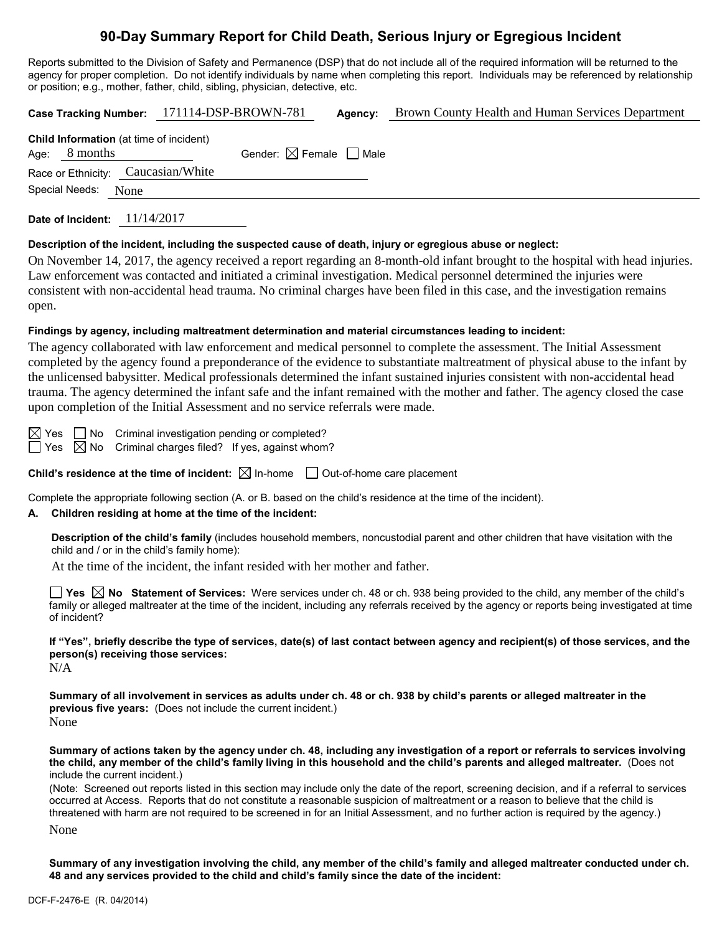# **90-Day Summary Report for Child Death, Serious Injury or Egregious Incident**

Reports submitted to the Division of Safety and Permanence (DSP) that do not include all of the required information will be returned to the agency for proper completion. Do not identify individuals by name when completing this report. Individuals may be referenced by relationship or position; e.g., mother, father, child, sibling, physician, detective, etc.

|      |                | Case Tracking Number: 171114-DSP-BROWN-781 |                                                | Agency:                                | Brown County Health and Human Services Department |  |  |
|------|----------------|--------------------------------------------|------------------------------------------------|----------------------------------------|---------------------------------------------------|--|--|
| Age: | 8 months       |                                            | <b>Child Information</b> (at time of incident) | Gender: $\boxtimes$ Female $\Box$ Male |                                                   |  |  |
|      |                |                                            | Race or Ethnicity: Caucasian/White             |                                        |                                                   |  |  |
|      | Special Needs: | None                                       |                                                |                                        |                                                   |  |  |
|      |                |                                            |                                                |                                        |                                                   |  |  |

**Date of Incident:** 11/14/2017

#### **Description of the incident, including the suspected cause of death, injury or egregious abuse or neglect:**

On November 14, 2017, the agency received a report regarding an 8-month-old infant brought to the hospital with head injuries. Law enforcement was contacted and initiated a criminal investigation. Medical personnel determined the injuries were consistent with non-accidental head trauma. No criminal charges have been filed in this case, and the investigation remains open.

#### **Findings by agency, including maltreatment determination and material circumstances leading to incident:**

The agency collaborated with law enforcement and medical personnel to complete the assessment. The Initial Assessment completed by the agency found a preponderance of the evidence to substantiate maltreatment of physical abuse to the infant by the unlicensed babysitter. Medical professionals determined the infant sustained injuries consistent with non-accidental head trauma. The agency determined the infant safe and the infant remained with the mother and father. The agency closed the case upon completion of the Initial Assessment and no service referrals were made.

 $\boxtimes$  Yes  $\Box$  No Criminal investigation pending or completed?  $\Box$  Yes  $\boxtimes$  No Criminal charges filed? If yes, against whom?

**Child's residence at the time of incident:**  $\boxtimes$  In-home  $\Box$  Out-of-home care placement

Complete the appropriate following section (A. or B. based on the child's residence at the time of the incident).

#### **A. Children residing at home at the time of the incident:**

**Description of the child's family** (includes household members, noncustodial parent and other children that have visitation with the child and / or in the child's family home):

At the time of the incident, the infant resided with her mother and father.

■ Yes △ No Statement of Services: Were services under ch. 48 or ch. 938 being provided to the child, any member of the child's family or alleged maltreater at the time of the incident, including any referrals received by the agency or reports being investigated at time of incident?

**If "Yes", briefly describe the type of services, date(s) of last contact between agency and recipient(s) of those services, and the person(s) receiving those services:**

N/A

**Summary of all involvement in services as adults under ch. 48 or ch. 938 by child's parents or alleged maltreater in the previous five years:** (Does not include the current incident.) None

**Summary of actions taken by the agency under ch. 48, including any investigation of a report or referrals to services involving the child, any member of the child's family living in this household and the child's parents and alleged maltreater.** (Does not include the current incident.)

(Note: Screened out reports listed in this section may include only the date of the report, screening decision, and if a referral to services occurred at Access. Reports that do not constitute a reasonable suspicion of maltreatment or a reason to believe that the child is threatened with harm are not required to be screened in for an Initial Assessment, and no further action is required by the agency.)

None

**Summary of any investigation involving the child, any member of the child's family and alleged maltreater conducted under ch. 48 and any services provided to the child and child's family since the date of the incident:**